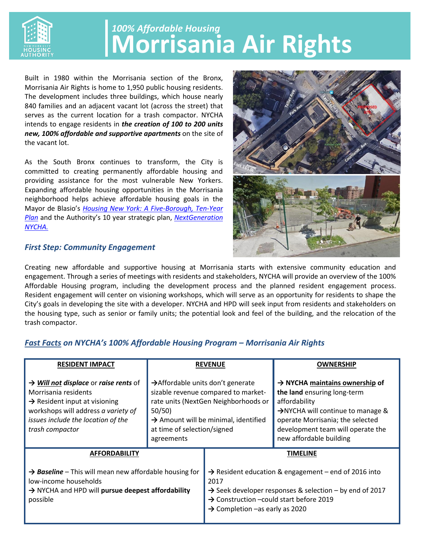

## **Morrisania Air Rights** *100% Affordable Housing*

Built in 1980 within the Morrisania section of the Bronx, Morrisania Air Rights is home to 1,950 public housing residents. The development includes three buildings, which house nearly 840 families and an adjacent vacant lot (across the street) that serves as the current location for a trash compactor. NYCHA intends to engage residents in *the creation of 100 to 200 units new, 100% affordable and supportive apartments* on the site of the vacant lot.

As the South Bronx continues to transform, the City is committed to creating permanently affordable housing and providing assistance for the most vulnerable New Yorkers. Expanding affordable housing opportunities in the Morrisania neighborhood helps achieve affordable housing goals in the Mayor de Blasio's *[Housing New York: A Five-Borough, Ten-Year](http://www.nyc.gov/html/housing/assets/downloads/pdf/housing_plan.pdf)  [Plan](http://www.nyc.gov/html/housing/assets/downloads/pdf/housing_plan.pdf)* and the Authority's 10 year strategic plan, *[NextGeneration](http://www1.nyc.gov/assets/nycha/downloads/pdf/nextgen-nycha-web.pdf)  [NYCHA.](http://www1.nyc.gov/assets/nycha/downloads/pdf/nextgen-nycha-web.pdf)*

## *First Step: Community Engagement*



Creating new affordable and supportive housing at Morrisania starts with extensive community education and engagement. Through a series of meetings with residents and stakeholders, NYCHA will provide an overview of the 100% Affordable Housing program, including the development process and the planned resident engagement process. Resident engagement will center on visioning workshops, which will serve as an opportunity for residents to shape the City's goals in developing the site with a developer. NYCHA and HPD will seek input from residents and stakeholders on the housing type, such as senior or family units; the potential look and feel of the building, and the relocation of the trash compactor.

## *Fast Facts on NYCHA's 100% Affordable Housing Program – Morrisania Air Rights*

| <b>RESIDENT IMPACT</b>                                                                                                                                                                                                 | <b>REVENUE</b>                                                                                                                                                                                                                          |                                                                                                                                                                                                                                                      | <b>OWNERSHIP</b>                                                                                                                                                                                                                                |
|------------------------------------------------------------------------------------------------------------------------------------------------------------------------------------------------------------------------|-----------------------------------------------------------------------------------------------------------------------------------------------------------------------------------------------------------------------------------------|------------------------------------------------------------------------------------------------------------------------------------------------------------------------------------------------------------------------------------------------------|-------------------------------------------------------------------------------------------------------------------------------------------------------------------------------------------------------------------------------------------------|
| $\rightarrow$ Will not displace or raise rents of<br>Morrisania residents<br>$\rightarrow$ Resident input at visioning<br>workshops will address a variety of<br>issues include the location of the<br>trash compactor | $\rightarrow$ Affordable units don't generate<br>sizable revenue compared to market-<br>rate units (NextGen Neighborhoods or<br>50/50)<br>$\rightarrow$ Amount will be minimal, identified<br>at time of selection/signed<br>agreements |                                                                                                                                                                                                                                                      | $\rightarrow$ NYCHA maintains ownership of<br>the land ensuring long-term<br>affordability<br>$\rightarrow$ NYCHA will continue to manage &<br>operate Morrisania; the selected<br>development team will operate the<br>new affordable building |
| <b>AFFORDABILITY</b>                                                                                                                                                                                                   |                                                                                                                                                                                                                                         | TIMELINE                                                                                                                                                                                                                                             |                                                                                                                                                                                                                                                 |
| > Baseline - This will mean new affordable housing for<br>low-income households<br>> NYCHA and HPD will pursue deepest affordability<br>possible                                                                       |                                                                                                                                                                                                                                         | $\rightarrow$ Resident education & engagement – end of 2016 into<br>2017<br>$\rightarrow$ Seek developer responses & selection – by end of 2017<br>$\rightarrow$ Construction –could start before 2019<br>$\rightarrow$ Completion –as early as 2020 |                                                                                                                                                                                                                                                 |